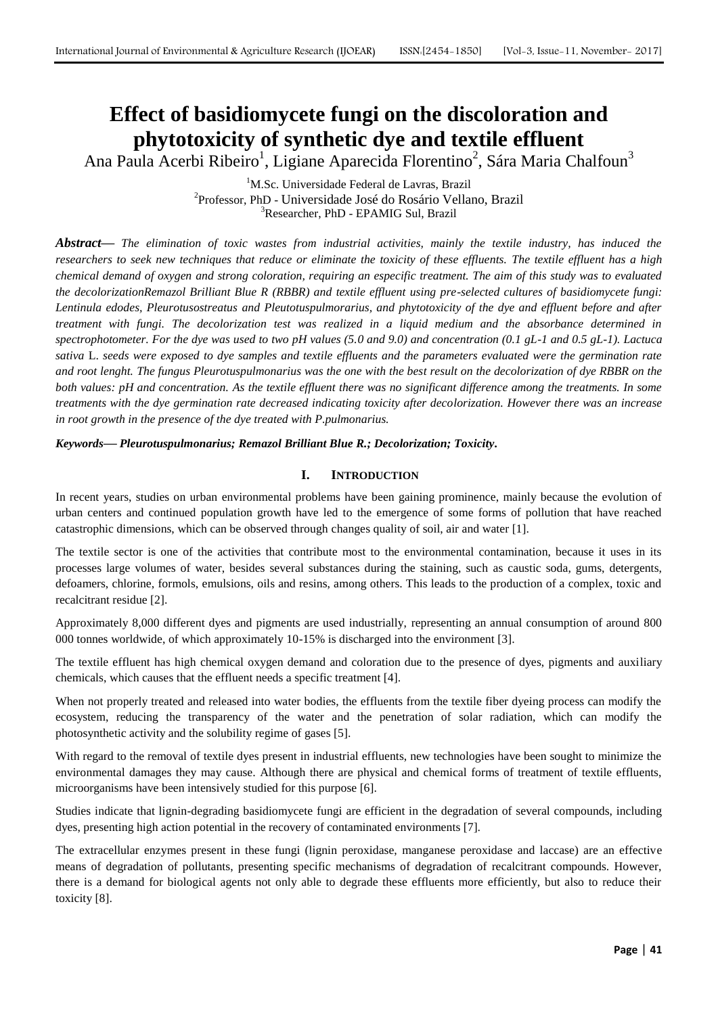# **Effect of basidiomycete fungi on the discoloration and phytotoxicity of synthetic dye and textile effluent**

Ana Paula Acerbi Ribeiro<sup>1</sup>, Ligiane Aparecida Florentino<sup>2</sup>, Sára Maria Chalfoun<sup>3</sup>

<sup>1</sup>M.Sc. Universidade Federal de Lavras, Brazil 2 Professor, PhD - Universidade José do Rosário Vellano, Brazil <sup>3</sup>Researcher, PhD - EPAMIG Sul, Brazil

*Abstract***—** *The elimination of toxic wastes from industrial activities, mainly the textile industry, has induced the researchers to seek new techniques that reduce or eliminate the toxicity of these effluents. The textile effluent has a high chemical demand of oxygen and strong coloration, requiring an especific treatment. The aim of this study was to evaluated the decolorizationRemazol Brilliant Blue R (RBBR) and textile effluent using pre-selected cultures of basidiomycete fungi: Lentinula edodes, Pleurotusostreatus and Pleutotuspulmorarius, and phytotoxicity of the dye and effluent before and after treatment with fungi. The decolorization test was realized in a liquid medium and the absorbance determined in spectrophotometer. For the dye was used to two pH values (5.0 and 9.0) and concentration (0.1 gL-1 and 0.5 gL-1). Lactuca sativa* L. *seeds were exposed to dye samples and textile effluents and the parameters evaluated were the germination rate and root lenght. The fungus Pleurotuspulmonarius was the one with the best result on the decolorization of dye RBBR on the both values: pH and concentration. As the textile effluent there was no significant difference among the treatments. In some treatments with the dye germination rate decreased indicating toxicity after decolorization. However there was an increase in root growth in the presence of the dye treated with P.pulmonarius.*

*Keywords***—** *Pleurotuspulmonarius; Remazol Brilliant Blue R.; Decolorization; Toxicity.*

# **I. INTRODUCTION**

In recent years, studies on urban environmental problems have been gaining prominence, mainly because the evolution of urban centers and continued population growth have led to the emergence of some forms of pollution that have reached catastrophic dimensions, which can be observed through changes quality of soil, air and water [1].

The textile sector is one of the activities that contribute most to the environmental contamination, because it uses in its processes large volumes of water, besides several substances during the staining, such as caustic soda, gums, detergents, defoamers, chlorine, formols, emulsions, oils and resins, among others. This leads to the production of a complex, toxic and recalcitrant residue [2].

Approximately 8,000 different dyes and pigments are used industrially, representing an annual consumption of around 800 000 tonnes worldwide, of which approximately 10-15% is discharged into the environment [3].

The textile effluent has high chemical oxygen demand and coloration due to the presence of dyes, pigments and auxiliary chemicals, which causes that the effluent needs a specific treatment [4].

When not properly treated and released into water bodies, the effluents from the textile fiber dyeing process can modify the ecosystem, reducing the transparency of the water and the penetration of solar radiation, which can modify the photosynthetic activity and the solubility regime of gases [5].

With regard to the removal of textile dyes present in industrial effluents, new technologies have been sought to minimize the environmental damages they may cause. Although there are physical and chemical forms of treatment of textile effluents, microorganisms have been intensively studied for this purpose [6].

Studies indicate that lignin-degrading basidiomycete fungi are efficient in the degradation of several compounds, including dyes, presenting high action potential in the recovery of contaminated environments [7].

The extracellular enzymes present in these fungi (lignin peroxidase, manganese peroxidase and laccase) are an effective means of degradation of pollutants, presenting specific mechanisms of degradation of recalcitrant compounds. However, there is a demand for biological agents not only able to degrade these effluents more efficiently, but also to reduce their toxicity [8].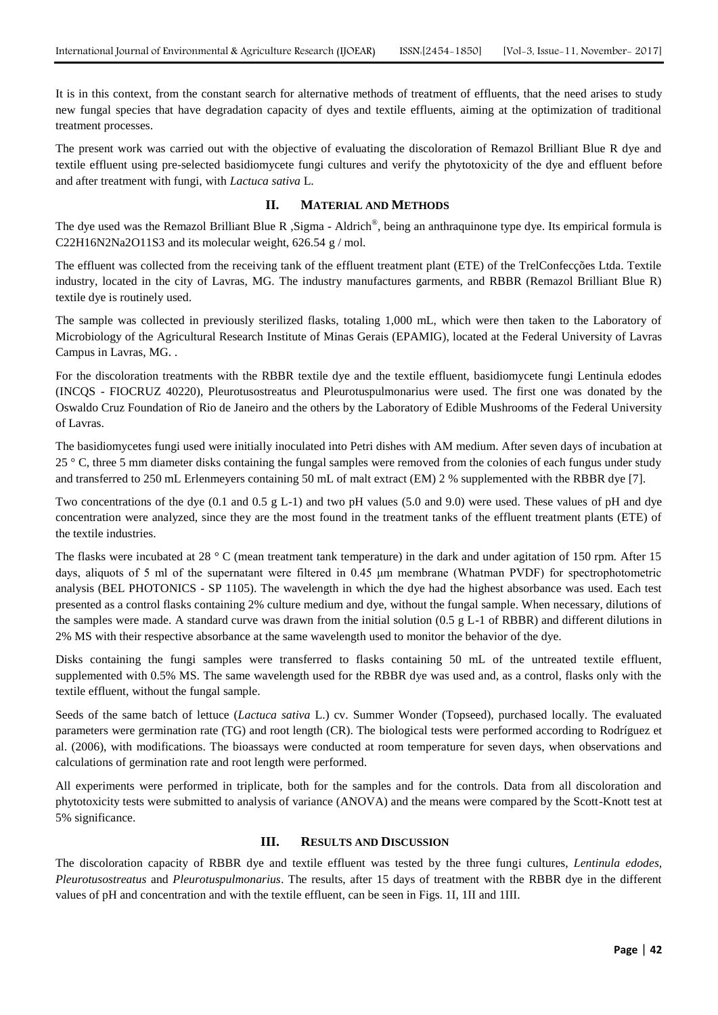It is in this context, from the constant search for alternative methods of treatment of effluents, that the need arises to study new fungal species that have degradation capacity of dyes and textile effluents, aiming at the optimization of traditional treatment processes.

The present work was carried out with the objective of evaluating the discoloration of Remazol Brilliant Blue R dye and textile effluent using pre-selected basidiomycete fungi cultures and verify the phytotoxicity of the dye and effluent before and after treatment with fungi, with *Lactuca sativa* L.

# **II. MATERIAL AND METHODS**

The dye used was the Remazol Brilliant Blue R , Sigma - Aldrich<sup>®</sup>, being an anthraquinone type dye. Its empirical formula is C22H16N2Na2O11S3 and its molecular weight, 626.54 g / mol.

The effluent was collected from the receiving tank of the effluent treatment plant (ETE) of the TrelConfecções Ltda. Textile industry, located in the city of Lavras, MG. The industry manufactures garments, and RBBR (Remazol Brilliant Blue R) textile dye is routinely used.

The sample was collected in previously sterilized flasks, totaling 1,000 mL, which were then taken to the Laboratory of Microbiology of the Agricultural Research Institute of Minas Gerais (EPAMIG), located at the Federal University of Lavras Campus in Lavras, MG. .

For the discoloration treatments with the RBBR textile dye and the textile effluent, basidiomycete fungi Lentinula edodes (INCQS - FIOCRUZ 40220), Pleurotusostreatus and Pleurotuspulmonarius were used. The first one was donated by the Oswaldo Cruz Foundation of Rio de Janeiro and the others by the Laboratory of Edible Mushrooms of the Federal University of Lavras.

The basidiomycetes fungi used were initially inoculated into Petri dishes with AM medium. After seven days of incubation at 25 ° C, three 5 mm diameter disks containing the fungal samples were removed from the colonies of each fungus under study and transferred to 250 mL Erlenmeyers containing 50 mL of malt extract (EM) 2 % supplemented with the RBBR dye [7].

Two concentrations of the dye (0.1 and 0.5 g L-1) and two pH values (5.0 and 9.0) were used. These values of pH and dye concentration were analyzed, since they are the most found in the treatment tanks of the effluent treatment plants (ETE) of the textile industries.

The flasks were incubated at 28 °C (mean treatment tank temperature) in the dark and under agitation of 150 rpm. After 15 days, aliquots of 5 ml of the supernatant were filtered in 0.45 μm membrane (Whatman PVDF) for spectrophotometric analysis (BEL PHOTONICS - SP 1105). The wavelength in which the dye had the highest absorbance was used. Each test presented as a control flasks containing 2% culture medium and dye, without the fungal sample. When necessary, dilutions of the samples were made. A standard curve was drawn from the initial solution  $(0.5 \text{ g L-1})$  of RBBR) and different dilutions in 2% MS with their respective absorbance at the same wavelength used to monitor the behavior of the dye.

Disks containing the fungi samples were transferred to flasks containing 50 mL of the untreated textile effluent, supplemented with 0.5% MS. The same wavelength used for the RBBR dye was used and, as a control, flasks only with the textile effluent, without the fungal sample.

Seeds of the same batch of lettuce (*Lactuca sativa* L.) cv. Summer Wonder (Topseed), purchased locally. The evaluated parameters were germination rate (TG) and root length (CR). The biological tests were performed according to Rodríguez et al. (2006), with modifications. The bioassays were conducted at room temperature for seven days, when observations and calculations of germination rate and root length were performed.

All experiments were performed in triplicate, both for the samples and for the controls. Data from all discoloration and phytotoxicity tests were submitted to analysis of variance (ANOVA) and the means were compared by the Scott-Knott test at 5% significance.

### **III. RESULTS AND DISCUSSION**

The discoloration capacity of RBBR dye and textile effluent was tested by the three fungi cultures, *Lentinula edodes, Pleurotusostreatus* and *Pleurotuspulmonarius*. The results, after 15 days of treatment with the RBBR dye in the different values of pH and concentration and with the textile effluent, can be seen in Figs. 1I, 1II and 1III.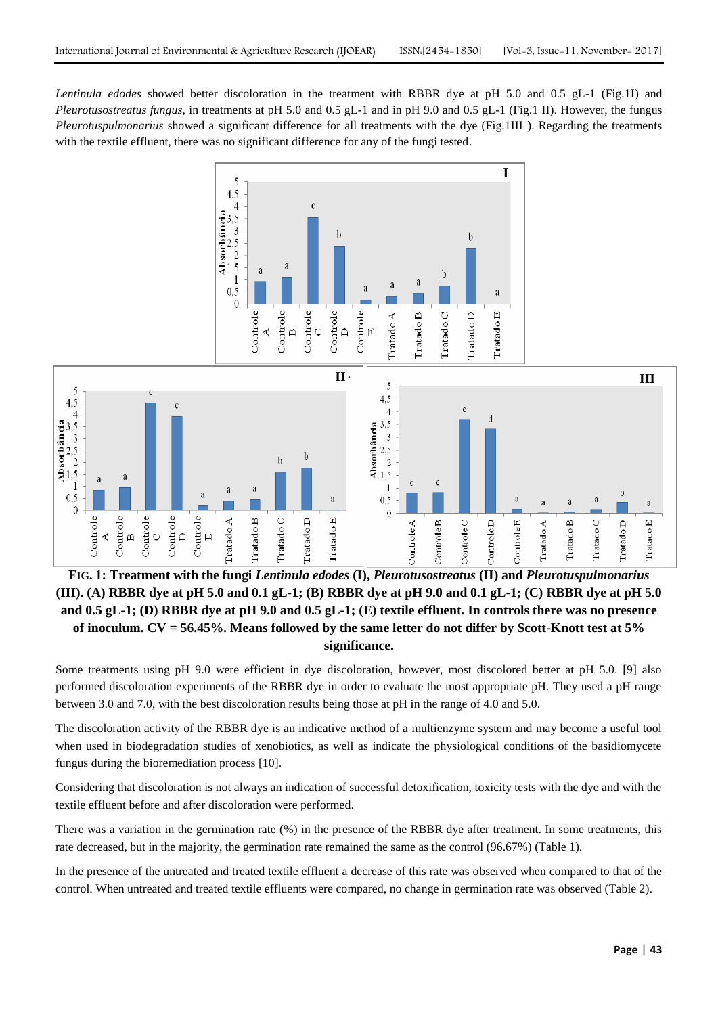*Lentinula edodes* showed better discoloration in the treatment with RBBR dye at pH 5.0 and 0.5 gL-1 (Fig.1I) and *Pleurotusostreatus fungus*, in treatments at pH 5.0 and 0.5 gL-1 and in pH 9.0 and 0.5 gL-1 (Fig.1 II). However, the fungus *Pleurotuspulmonarius* showed a significant difference for all treatments with the dye (Fig.1III ). Regarding the treatments with the textile effluent, there was no significant difference for any of the fungi tested.



**FIG. 1: Treatment with the fungi** *Lentinula edodes* **(I),** *Pleurotusostreatus* **(II) and** *Pleurotuspulmonarius* **(III). (A) RBBR dye at pH 5.0 and 0.1 gL-1; (B) RBBR dye at pH 9.0 and 0.1 gL-1; (C) RBBR dye at pH 5.0 and 0.5 gL-1; (D) RBBR dye at pH 9.0 and 0.5 gL-1; (E) textile effluent. In controls there was no presence of inoculum. CV = 56.45%. Means followed by the same letter do not differ by Scott-Knott test at 5% significance.**

Some treatments using pH 9.0 were efficient in dye discoloration, however, most discolored better at pH 5.0. [9] also performed discoloration experiments of the RBBR dye in order to evaluate the most appropriate pH. They used a pH range between 3.0 and 7.0, with the best discoloration results being those at pH in the range of 4.0 and 5.0.

The discoloration activity of the RBBR dye is an indicative method of a multienzyme system and may become a useful tool when used in biodegradation studies of xenobiotics, as well as indicate the physiological conditions of the basidiomycete fungus during the bioremediation process [10].

Considering that discoloration is not always an indication of successful detoxification, toxicity tests with the dye and with the textile effluent before and after discoloration were performed.

There was a variation in the germination rate (%) in the presence of the RBBR dye after treatment. In some treatments, this rate decreased, but in the majority, the germination rate remained the same as the control (96.67%) (Table 1).

In the presence of the untreated and treated textile effluent a decrease of this rate was observed when compared to that of the control. When untreated and treated textile effluents were compared, no change in germination rate was observed (Table 2).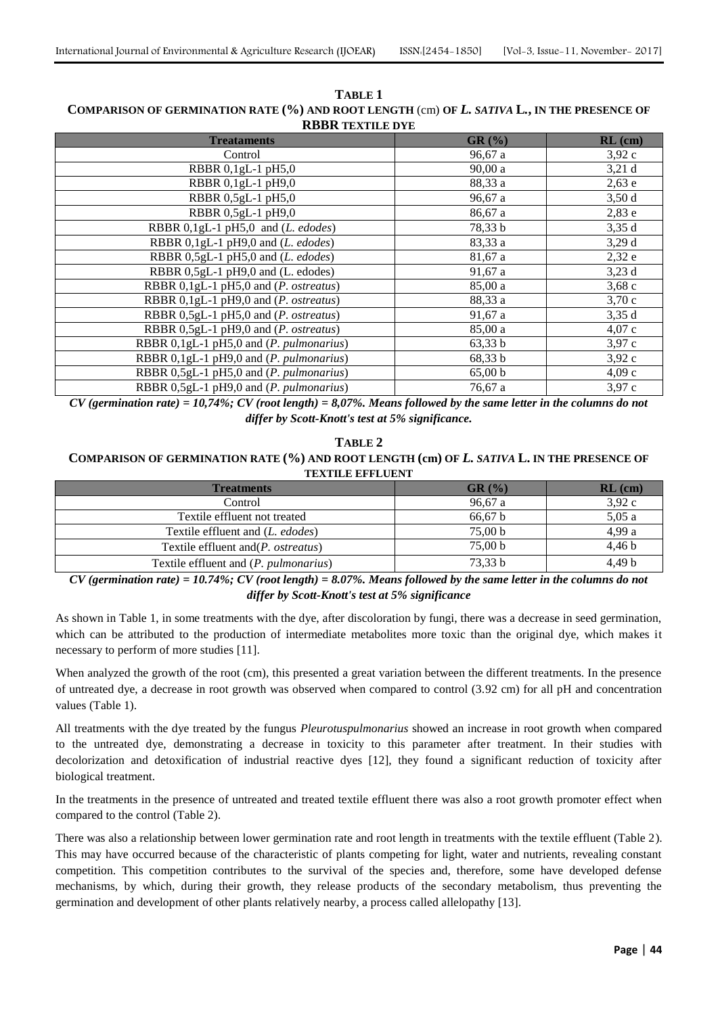| <b>RBBR TEXTILE DYE</b>                         |         |           |  |
|-------------------------------------------------|---------|-----------|--|
| <b>Treataments</b>                              | GR(%)   | $RL$ (cm) |  |
| Control                                         | 96,67 a | 3,92c     |  |
| RBBR 0,1gL-1 pH5,0                              | 90,00a  | 3,21d     |  |
| RBBR 0,1gL-1 pH9,0                              | 88,33 a | $2,63$ e  |  |
| RBBR 0,5gL-1 pH5,0                              | 96,67 a | 3,50d     |  |
| RBBR 0,5gL-1 pH9,0                              | 86,67 a | 2,83e     |  |
| RBBR 0,1gL-1 pH5,0 and (L. edodes)              | 78,33 b | 3,35d     |  |
| RBBR $0, 1$ gL-1 pH9,0 and ( <i>L. edodes</i> ) | 83,33 a | 3,29d     |  |
| RBBR 0,5gL-1 pH5,0 and (L. edodes)              | 81,67 a | 2,32e     |  |
| RBBR 0,5gL-1 pH9,0 and (L. edodes)              | 91,67 a | 3,23d     |  |
| RBBR 0,1gL-1 pH5,0 and (P. ostreatus)           | 85,00 a | 3,68c     |  |
| RBBR 0,1gL-1 pH9,0 and (P. ostreatus)           | 88,33 a | 3,70c     |  |
| RBBR 0,5gL-1 pH5,0 and (P. ostreatus)           | 91,67a  | 3,35d     |  |
| RBBR 0,5gL-1 pH9,0 and (P. ostreatus)           | 85,00 a | 4,07c     |  |
| RBBR 0,1gL-1 pH5,0 and (P. pulmonarius)         | 63,33 b | 3,97c     |  |
| RBBR 0,1gL-1 pH9,0 and (P. pulmonarius)         | 68,33 b | 3,92c     |  |
| RBBR 0,5gL-1 pH5,0 and (P. pulmonarius)         | 65,00 b | 4,09c     |  |
| RBBR 0,5gL-1 pH9,0 and (P. pulmonarius)         | 76,67 a | 3,97 c    |  |

**TABLE 1 COMPARISON OF GERMINATION RATE (%) AND ROOT LENGTH** (cm) **OF** *L. SATIVA* **L***.***, IN THE PRESENCE OF** 

*CV (germination rate) = 10,74%; CV (root length) = 8,07%. Means followed by the same letter in the columns do not differ by Scott-Knott's test at 5% significance.*

# **TABLE 2 COMPARISON OF GERMINATION RATE (%) AND ROOT LENGTH (cm) OF** *L. SATIVA* **L. IN THE PRESENCE OF TEXTILE EFFLUENT**

| <b>Treatments</b>                              | GR (%)             | $RL$ (cm)         |
|------------------------------------------------|--------------------|-------------------|
| Control                                        | 96.67a             | 3,92c             |
| Textile effluent not treated                   | 66.67 b            | 5,05a             |
| Textile effluent and (L. edodes)               | 75,00 b            | 4,99 a            |
| Textile effluent and ( <i>P. ostreatus</i> )   | 75.00 <sub>b</sub> | 4.46 <sub>b</sub> |
| Textile effluent and ( <i>P. pulmonarius</i> ) | 73.33 b            | 4,49 b            |

*CV (germination rate) = 10.74%; CV (root length) = 8.07%. Means followed by the same letter in the columns do not differ by Scott-Knott's test at 5% significance*

As shown in Table 1, in some treatments with the dye, after discoloration by fungi, there was a decrease in seed germination, which can be attributed to the production of intermediate metabolites more toxic than the original dye, which makes it necessary to perform of more studies [11].

When analyzed the growth of the root (cm), this presented a great variation between the different treatments. In the presence of untreated dye, a decrease in root growth was observed when compared to control (3.92 cm) for all pH and concentration values (Table 1).

All treatments with the dye treated by the fungus *Pleurotuspulmonarius* showed an increase in root growth when compared to the untreated dye, demonstrating a decrease in toxicity to this parameter after treatment. In their studies with decolorization and detoxification of industrial reactive dyes [12], they found a significant reduction of toxicity after biological treatment.

In the treatments in the presence of untreated and treated textile effluent there was also a root growth promoter effect when compared to the control (Table 2).

There was also a relationship between lower germination rate and root length in treatments with the textile effluent (Table 2). This may have occurred because of the characteristic of plants competing for light, water and nutrients, revealing constant competition. This competition contributes to the survival of the species and, therefore, some have developed defense mechanisms, by which, during their growth, they release products of the secondary metabolism, thus preventing the germination and development of other plants relatively nearby, a process called allelopathy [13].